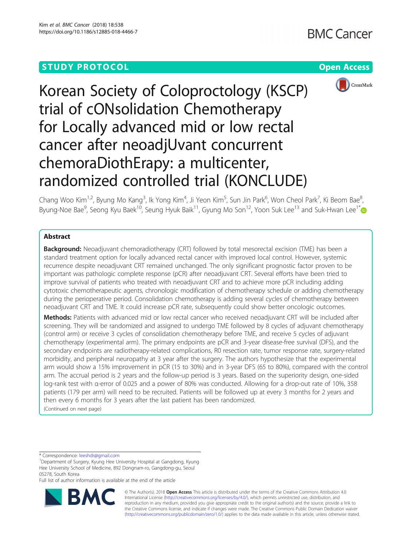



Korean Society of Coloproctology (KSCP) trial of cONsolidation Chemotherapy for Locally advanced mid or low rectal cancer after neoadjUvant concurrent chemoraDiothErapy: a multicenter, randomized controlled trial (KONCLUDE)

Chang Woo Kim<sup>1,2</sup>, Byung Mo Kang<sup>3</sup>, Ik Yong Kim<sup>4</sup>, Ji Yeon Kim<sup>5</sup>, Sun Jin Park<sup>6</sup>, Won Cheol Park<sup>7</sup>, Ki Beom Bae<sup>8</sup> , Byung-Noe Bae<sup>9</sup>, Seong Kyu Baek<sup>10</sup>, Seung Hyuk Baik<sup>11</sup>, Gyung Mo Son<sup>12</sup>, Yoon Suk Lee<sup>13</sup> and Suk-Hwan Lee<sup>1\*</sup>

# Abstract

**Background:** Neoadjuvant chemoradiotherapy (CRT) followed by total mesorectal excision (TME) has been a standard treatment option for locally advanced rectal cancer with improved local control. However, systemic recurrence despite neoadjuvant CRT remained unchanged. The only significant prognostic factor proven to be important was pathologic complete response (pCR) after neoadjuvant CRT. Several efforts have been tried to improve survival of patients who treated with neoadjuvant CRT and to achieve more pCR including adding cytotoxic chemotherapeutic agents, chronologic modification of chemotherapy schedule or adding chemotherapy during the perioperative period. Consolidation chemotherapy is adding several cycles of chemotherapy between neoadjuvant CRT and TME. It could increase pCR rate, subsequently could show better oncologic outcomes.

Methods: Patients with advanced mid or low rectal cancer who received neoadjuvant CRT will be included after screening. They will be randomized and assigned to undergo TME followed by 8 cycles of adjuvant chemotherapy (control arm) or receive 3 cycles of consolidation chemotherapy before TME, and receive 5 cycles of adjuvant chemotherapy (experimental arm). The primary endpoints are pCR and 3-year disease-free survival (DFS), and the secondary endpoints are radiotherapy-related complications, R0 resection rate, tumor response rate, surgery-related morbidity, and peripheral neuropathy at 3 year after the surgery. The authors hypothesize that the experimental arm would show a 15% improvement in pCR (15 to 30%) and in 3-year DFS (65 to 80%), compared with the control arm. The accrual period is 2 years and the follow-up period is 3 years. Based on the superiority design, one-sided log-rank test with α-error of 0.025 and a power of 80% was conducted. Allowing for a drop-out rate of 10%, 358 patients (179 per arm) will need to be recruited. Patients will be followed up at every 3 months for 2 years and then every 6 months for 3 years after the last patient has been randomized. (Continued on next page)

\* Correspondence: [leeshdr@gmail.com](mailto:leeshdr@gmail.com) <sup>1</sup>

Full list of author information is available at the end of the article



© The Author(s). 2018 Open Access This article is distributed under the terms of the Creative Commons Attribution 4.0 International License [\(http://creativecommons.org/licenses/by/4.0/](http://creativecommons.org/licenses/by/4.0/)), which permits unrestricted use, distribution, and reproduction in any medium, provided you give appropriate credit to the original author(s) and the source, provide a link to the Creative Commons license, and indicate if changes were made. The Creative Commons Public Domain Dedication waiver [\(http://creativecommons.org/publicdomain/zero/1.0/](http://creativecommons.org/publicdomain/zero/1.0/)) applies to the data made available in this article, unless otherwise stated.

<sup>&</sup>lt;sup>1</sup>Department of Surgery, Kyung Hee University Hospital at Gangdong, Kyung Hee University School of Medicine, 892 Dongnam-ro, Gangdong-gu, Seoul 05278, South Korea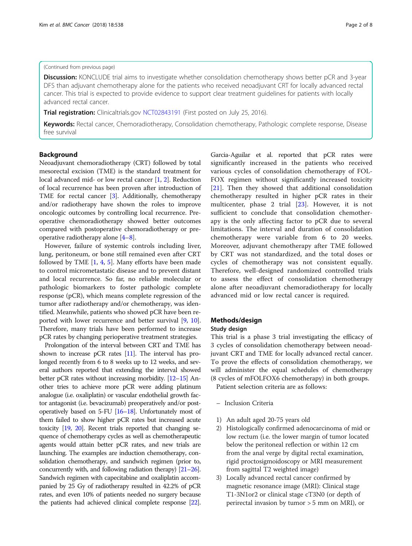# (Continued from previous page)

**Discussion:** KONCLUDE trial aims to investigate whether consolidation chemotherapy shows better pCR and 3-year DFS than adjuvant chemotherapy alone for the patients who received neoadjuvant CRT for locally advanced rectal cancer. This trial is expected to provide evidence to support clear treatment guidelines for patients with locally advanced rectal cancer.

Trial registration: Clinicaltrials.gov [NCT02843191](https://clinicaltrials.gov/ct2/show/NCT02843191?cond=NCT02843191&rank=1) (First posted on July 25, 2016).

Keywords: Rectal cancer, Chemoradiotherapy, Consolidation chemotherapy, Pathologic complete response, Disease free survival

# Background

Neoadjuvant chemoradiotherapy (CRT) followed by total mesorectal excision (TME) is the standard treatment for local advanced mid- or low rectal cancer [[1,](#page-6-0) [2\]](#page-6-0). Reduction of local recurrence has been proven after introduction of TME for rectal cancer [[3\]](#page-6-0). Additionally, chemotherapy and/or radiotherapy have shown the roles to improve oncologic outcomes by controlling local recurrence. Preoperative chemoradiotherapy showed better outcomes compared with postoperative chemoradiotherapy or preoperative radiotherapy alone [\[4](#page-6-0)–[8\]](#page-6-0).

However, failure of systemic controls including liver, lung, peritoneum, or bone still remained even after CRT followed by TME  $[1, 4, 5]$  $[1, 4, 5]$  $[1, 4, 5]$  $[1, 4, 5]$  $[1, 4, 5]$  $[1, 4, 5]$  $[1, 4, 5]$ . Many efforts have been made to control micrometastatic disease and to prevent distant and local recurrence. So far, no reliable molecular or pathologic biomarkers to foster pathologic complete response (pCR), which means complete regression of the tumor after radiotherapy and/or chemotherapy, was identified. Meanwhile, patients who showed pCR have been reported with lower recurrence and better survival [\[9,](#page-6-0) [10](#page-6-0)]. Therefore, many trials have been performed to increase pCR rates by changing perioperative treatment strategies.

Prolongation of the interval between CRT and TME has shown to increase pCR rates [\[11](#page-6-0)]. The interval has prolonged recently from 6 to 8 weeks up to 12 weeks, and several authors reported that extending the interval showed better pCR rates without increasing morbidity. [[12](#page-6-0)–[15](#page-6-0)] Another tries to achieve more pCR were adding platinum analogue (i.e. oxaliplatin) or vascular endothelial growth factor antagonist (i.e. bevacizumab) preoperatively and/or postoperatively based on 5-FU [[16](#page-6-0)–[18](#page-6-0)]. Unfortunately most of them failed to show higher pCR rates but increased acute toxicity [[19,](#page-6-0) [20\]](#page-6-0). Recent trials reported that changing sequence of chemotherapy cycles as well as chemotherapeutic agents would attain better pCR rates, and new trials are launching. The examples are induction chemotherapy, consolidation chemotherapy, and sandwich regimen (prior to, concurrently with, and following radiation therapy) [\[21](#page-6-0)–[26](#page-6-0)]. Sandwich regimen with capecitabine and oxaliplatin accompanied by 25 Gy of radiotherapy resulted in 42.2% of pCR rates, and even 10% of patients needed no surgery because the patients had achieved clinical complete response [\[22](#page-6-0)].

Garcia-Aguilar et al. reported that pCR rates were significantly increased in the patients who received various cycles of consolidation chemotherapy of FOL-FOX regimen without significantly increased toxicity [[21\]](#page-6-0). Then they showed that additional consolidation chemotherapy resulted in higher pCR rates in their multicenter, phase 2 trial [[23\]](#page-6-0). However, it is not sufficient to conclude that consolidation chemotherapy is the only affecting factor to pCR due to several limitations. The interval and duration of consolidation chemotherapy were variable from 6 to 20 weeks. Moreover, adjuvant chemotherapy after TME followed by CRT was not standardized, and the total doses or cycles of chemotherapy was not consistent equally. Therefore, well-designed randomized controlled trials to assess the effect of consolidation chemotherapy alone after neoadjuvant chemoradiotherapy for locally advanced mid or low rectal cancer is required.

# Methods/design

#### Study design

This trial is a phase 3 trial investigating the efficacy of 3 cycles of consolidation chemotherapy between neoadjuvant CRT and TME for locally advanced rectal cancer. To prove the effects of consolidation chemotherapy, we will administer the equal schedules of chemotherapy (8 cycles of mFOLFOX6 chemotherapy) in both groups. Patient selection criteria are as follows:

- Inclusion Criteria
- 1) An adult aged 20-75 years old
- 2) Histologically confirmed adenocarcinoma of mid or low rectum (i.e. the lower margin of tumor located below the peritoneal reflection or within 12 cm from the anal verge by digital rectal examination, rigid proctosigmoidoscopy or MRI measurement from sagittal T2 weighted image)
- 3) Locally advanced rectal cancer confirmed by magnetic resonance image (MRI): Clinical stage T1-3N1or2 or clinical stage cT3N0 (or depth of perirectal invasion by tumor > 5 mm on MRI), or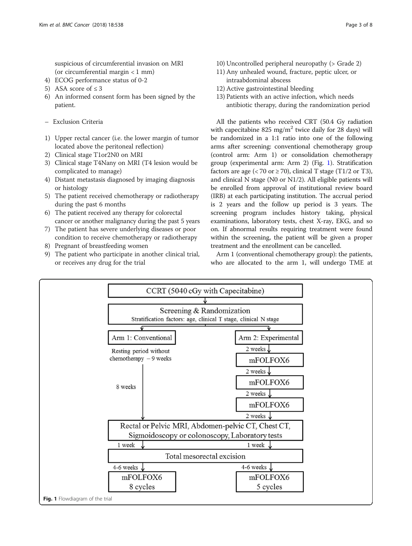suspicious of circumferential invasion on MRI (or circumferential margin < 1 mm)

- 4) ECOG performance status of 0-2
- 5) ASA score of  $\leq 3$
- 6) An informed consent form has been signed by the patient.
- Exclusion Criteria
- 1) Upper rectal cancer (i.e. the lower margin of tumor located above the peritoneal reflection)
- 2) Clinical stage T1or2N0 on MRI
- 3) Clinical stage T4Nany on MRI (T4 lesion would be complicated to manage)
- 4) Distant metastasis diagnosed by imaging diagnosis or histology
- 5) The patient received chemotherapy or radiotherapy during the past 6 months
- 6) The patient received any therapy for colorectal cancer or another malignancy during the past 5 years
- 7) The patient has severe underlying diseases or poor condition to receive chemotherapy or radiotherapy
- 8) Pregnant of breastfeeding women
- 9) The patient who participate in another clinical trial, or receives any drug for the trial
- 10) Uncontrolled peripheral neuropathy (> Grade 2)
- 11) Any unhealed wound, fracture, peptic ulcer, or intraabdominal abscess
- 12) Active gastrointestinal bleeding
- 13) Patients with an active infection, which needs antibiotic therapy, during the randomization period

All the patients who received CRT (50.4 Gy radiation with capecitabine 825 mg/m<sup>2</sup> twice daily for 28 days) will be randomized in a 1:1 ratio into one of the following arms after screening: conventional chemotherapy group (control arm: Arm 1) or consolidation chemotherapy group (experimental arm: Arm 2) (Fig. 1). Stratification factors are age  $( $70 \text{ or } \geq 70$ ), clinical T stage (T1/2 or T3),$ and clinical N stage (N0 or N1/2). All eligible patients will be enrolled from approval of institutional review board (IRB) at each participating institution. The accrual period is 2 years and the follow up period is 3 years. The screening program includes history taking, physical examinations, laboratory tests, chest X-ray, EKG, and so on. If abnormal results requiring treatment were found within the screening, the patient will be given a proper treatment and the enrollment can be cancelled.

Arm 1 (conventional chemotherapy group): the patients, who are allocated to the arm 1, will undergo TME at

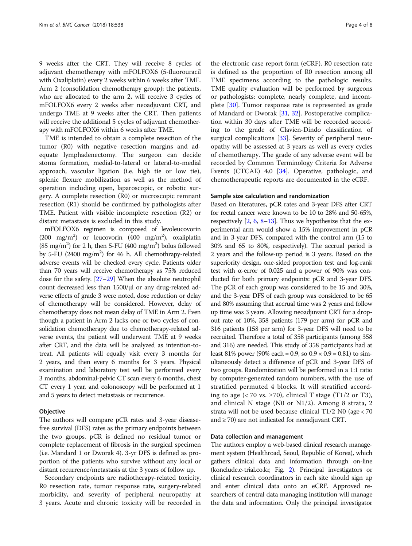9 weeks after the CRT. They will receive 8 cycles of adjuvant chemotherapy with mFOLFOX6 (5-fluorouracil with Oxaliplatin) every 2 weeks within 6 weeks after TME. Arm 2 (consolidation chemotherapy group); the patients, who are allocated to the arm 2, will receive 3 cycles of mFOLFOX6 every 2 weeks after neoadjuvant CRT, and undergo TME at 9 weeks after the CRT. Then patients will receive the additional 5 cycles of adjuvant chemotherapy with mFOLFOX6 within 6 weeks after TME.

TME is intended to obtain a complete resection of the tumor (R0) with negative resection margins and adequate lymphadenectomy. The surgeon can decide stoma formation, medial-to-lateral or lateral-to-medial approach, vascular ligation (i.e. high tie or low tie), splenic flexure mobilization as well as the method of operation including open, laparoscopic, or robotic surgery. A complete resection (R0) or microscopic remnant resection (R1) should be confirmed by pathologists after TME. Patient with visible incomplete resection (R2) or distant metastasis is excluded in this study.

mFOLFOX6 regimen is composed of levoleucovorin (200 mg/m<sup>2</sup>) or leucovorin (400 mg/m<sup>2</sup>), oxaliplatin (85 mg/m<sup>2</sup>) for 2 h, then 5-FU (400 mg/m<sup>2</sup>) bolus followed by 5-FU (2400 mg/m<sup>2</sup>) for 46 h. All chemothrapy-related adverse events will be checked every cycle. Patients older than 70 years will receive chemotherapy as 75% reduced dose for the safety. [\[27](#page-6-0)–[29](#page-6-0)] When the absolute neutrophil count decreased less than 1500/μl or any drug-related adverse effects of grade 3 were noted, dose reduction or delay of chemotherapy will be considered. However, delay of chemotherapy does not mean delay of TME in Arm 2. Even though a patient in Arm 2 lacks one or two cycles of consolidation chemotherapy due to chemotherapy-related adverse events, the patient will underwent TME at 9 weeks after CRT, and the data will be analyzed as intention-totreat. All patients will equally visit every 3 months for 2 years, and then every 6 months for 3 years. Physical examination and laboratory test will be performed every 3 months, abdominal-pelvic CT scan every 6 months, chest CT every 1 year, and colonoscopy will be performed at 1 and 5 years to detect metastasis or recurrence.

#### **Objective**

The authors will compare pCR rates and 3-year diseasefree survival (DFS) rates as the primary endpoints between the two groups. pCR is defined no residual tumor or complete replacement of fibrosis in the surgical specimen (i.e. Mandard 1 or Dworak 4). 3-yr DFS is defined as proportion of the patients who survive without any local or distant recurrence/metastasis at the 3 years of follow up.

Secondary endpoints are radiotherapy-related toxicity, R0 resection rate, tumor response rate, surgery-related morbidity, and severity of peripheral neuropathy at 3 years. Acute and chronic toxicity will be recorded in

the electronic case report form (eCRF). R0 resection rate is defined as the proportion of R0 resection among all TME specimens according to the pathologic results. TME quality evaluation will be performed by surgeons or pathologists: complete, nearly complete, and incomplete [\[30](#page-6-0)]. Tumor response rate is represented as grade of Mandard or Dworak [[31](#page-6-0), [32\]](#page-6-0). Postoperative complication within 30 days after TME will be recorded according to the grade of Clavien-Dindo classification of surgical complications [[33\]](#page-6-0). Severity of peripheral neuropathy will be assessed at 3 years as well as every cycles of chemotherapy. The grade of any adverse event will be recorded by Common Terminology Criteria for Adverse Events (CTCAE) 4.0 [\[34](#page-6-0)]. Operative, pathologic, and chemotherapeutic reports are documented in the eCRF.

#### Sample size calculation and randomization

Based on literatures, pCR rates and 3-year DFS after CRT for rectal cancer were known to be 10 to 28% and 50-65%, respectively  $[2, 6, 8-13]$  $[2, 6, 8-13]$  $[2, 6, 8-13]$  $[2, 6, 8-13]$  $[2, 6, 8-13]$  $[2, 6, 8-13]$  $[2, 6, 8-13]$  $[2, 6, 8-13]$ . Thus we hypothesize that the experimental arm would show a 15% improvement in pCR and in 3-year DFS, compared with the control arm (15 to 30% and 65 to 80%, respectively). The accrual period is 2 years and the follow-up period is 3 years. Based on the superiority design, one-sided proportion test and log-rank test with α-error of 0.025 and a power of 90% was conducted for both primary endpoints: pCR and 3-year DFS. The pCR of each group was considered to be 15 and 30%, and the 3-year DFS of each group was considered to be 65 and 80% assuming that accrual time was 2 years and follow up time was 3 years. Allowing neoadjuvant CRT for a dropout rate of 10%, 358 patients (179 per arm) for pCR and 316 patients (158 per arm) for 3-year DFS will need to be recruited. Therefore a total of 358 participants (among 358 and 316) are needed. This study of 358 participants had at least 81% power (90% each = 0.9, so  $0.9 \times 0.9 = 0.81$ ) to simultaneously detect a difference of pCR and 3-year DFS of two groups. Randomization will be performed in a 1:1 ratio by computer-generated random numbers, with the use of stratified permuted 4 blocks. It will stratified according to age (< 70 vs.  $\geq$  70), clinical T stage (T1/2 or T3), and clinical N stage (N0 or N1/2). Among 8 strata, 2 strata will not be used because clinical T1/2 N0 (age < 70 and  $\geq$  70) are not indicated for neoadjuvant CRT.

### Data collection and management

The authors employ a web-based clinical research management system (Healthroad, Seoul, Republic of Korea), which gathers clinical data and information through on-line (konclude.e-trial.co.kr, Fig. [2](#page-4-0)). Principal investigators or clinical research coordinators in each site should sign up and enter clinical data onto an eCRF. Approved researchers of central data managing institution will manage the data and information. Only the principal investigator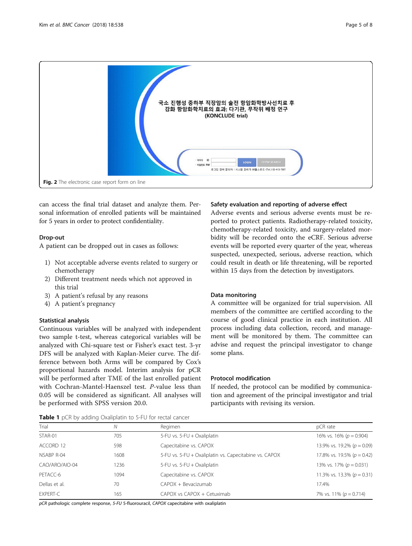<span id="page-4-0"></span>

can access the final trial dataset and analyze them. Personal information of enrolled patients will be maintained for 5 years in order to protect confidentiality.

# Drop-out

A patient can be dropped out in cases as follows:

- 1) Not acceptable adverse events related to surgery or chemotherapy
- 2) Different treatment needs which not approved in this trial
- 3) A patient's refusal by any reasons
- 4) A patient's pregnancy

# Statistical analysis

Continuous variables will be analyzed with independent two sample t-test, whereas categorical variables will be analyzed with Chi-square test or Fisher's exact test. 3-yr DFS will be analyzed with Kaplan-Meier curve. The difference between both Arms will be compared by Cox's proportional hazards model. Interim analysis for pCR will be performed after TME of the last enrolled patient with Cochran-Mantel-Haenszel test. P-value less than 0.05 will be considered as significant. All analyses will be performed with SPSS version 20.0.

# Safety evaluation and reporting of adverse effect

Adverse events and serious adverse events must be reported to protect patients. Radiotherapy-related toxicity, chemotherapy-related toxicity, and surgery-related morbidity will be recorded onto the eCRF. Serious adverse events will be reported every quarter of the year, whereas suspected, unexpected, serious, adverse reaction, which could result in death or life threatening, will be reported within 15 days from the detection by investigators.

# Data monitoring

A committee will be organized for trial supervision. All members of the committee are certified according to the course of good clinical practice in each institution. All process including data collection, record, and management will be monitored by them. The committee can advise and request the principal investigator to change some plans.

# Protocol modification

If needed, the protocol can be modified by communication and agreement of the principal investigator and trial participants with revising its version.

|  |  |  |  |  | Table 1 pCR by adding Oxaliplatin to 5-FU for rectal cancer |  |  |  |  |  |
|--|--|--|--|--|-------------------------------------------------------------|--|--|--|--|--|
|--|--|--|--|--|-------------------------------------------------------------|--|--|--|--|--|

| Trial           | Ν    | Regimen                                                | pCR rate                       |
|-----------------|------|--------------------------------------------------------|--------------------------------|
| STAR-01         | 705  | 5-FU vs. 5-FU + Oxaliplatin                            | 16% vs. 16% ( $p = 0.904$ )    |
| ACCORD 12       | 598  | Capecitabine vs. CAPOX                                 | 13.9% vs. 19.2% ( $p = 0.09$ ) |
| NSABP R-04      | 1608 | 5-FU vs. 5-FU + Oxaliplatin vs. Capecitabine vs. CAPOX | 17.8% vs. 19.5% ( $p = 0.42$ ) |
| CAO/ARO/AIO-04  | 1236 | 5-FU vs. 5-FU + Oxaliplatin                            | 13% vs. 17% ( $p = 0.031$ )    |
| PETACC-6        | 1094 | Capecitabine vs. CAPOX                                 | 11.3% vs. 13.3% ( $p = 0.31$ ) |
| Dellas et al.   | 70   | CAPOX + Bevacizumab                                    | 17.4%                          |
| <b>EXPERT-C</b> | 165  | $CAPOX$ vs $CAPOX + Cetuximab$                         | 7% vs. 11% ( $p = 0.714$ )     |

pCR pathologic complete response, 5-FU 5-fluorouracil, CAPOX capecitabine with oxaliplatin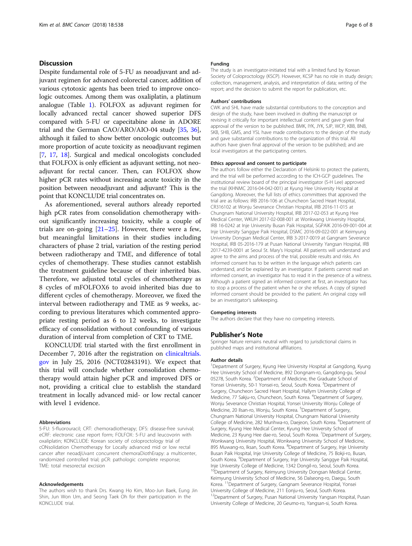# **Discussion**

Despite fundamental role of 5-FU as neoadjuvant and adjuvant regimen for advanced colorectal cancer, addition of various cytotoxic agents has been tried to improve oncologic outcomes. Among them was oxaliplatin, a platinum analogue (Table [1](#page-4-0)). FOLFOX as adjuvant regimen for locally advanced rectal cancer showed superior DFS compared with 5-FU or capecitabine alone in ADORE trial and the German CAO/ARO/AIO-04 study [\[35,](#page-7-0) [36](#page-7-0)], although it failed to show better oncologic outcomes but more proportion of acute toxicity as neoadjuvant regimen [[7,](#page-6-0) [17](#page-6-0), [18\]](#page-6-0). Surgical and medical oncologists concluded that FOLFOX is only efficient as adjuvant setting, not neoadjuvant for rectal cancer. Then, can FOLFOX show higher pCR rates without increasing acute toxicity in the position between neoadjuvant and adjuvant? This is the point that KONCLUDE trial concentrates on.

As aforementioned, several authors already reported high pCR rates from consolidation chemotherapy without significantly increasing toxicity, while a couple of trials are on-going  $[21-25]$  $[21-25]$  $[21-25]$  $[21-25]$ . However, there were a few, but meaningful limitations in their studies including characters of phase 2 trial, variation of the resting period between radiotherapy and TME, and difference of total cycles of chemotherapy. These studies cannot establish the treatment guideline because of their inherited bias. Therefore, we adjusted total cycles of chemotherapy as 8 cycles of mFOLFOX6 to avoid inherited bias due to different cycles of chemotherapy. Moreover, we fixed the interval between radiotherapy and TME as 9 weeks, according to previous literatures which commented appropriate resting period as 6 to 12 weeks, to investigate efficacy of consolidation without confounding of various duration of interval from completion of CRT to TME.

KONCLUDE trial started with the first enrollment in December 7, 2016 after the registration on [clinicaltrials.](http://clinicaltrials.gov) [gov](http://clinicaltrials.gov) in July 25, 2016 (NCT02843191). We expect that this trial will conclude whether consolidation chemotherapy would attain higher pCR and improved DFS or not, providing a critical clue to establish the standard treatment in locally advanced mid- or low rectal cancer with level 1 evidence.

#### Abbreviations

5-FU: 5-fluorouracil; CRT: chemoradiotherapy; DFS: disease-free survival; eCRF: electronic case report form; FOLFOX: 5-FU and leucovorin with oxaliplatin; KONCLUDE: Korean society of coloproctology trial of cONsolidation Chemotherapy for Locally advanced mid or low rectal cancer after neoadjUvant concurrent chemoraDiothErapy: a multicenter, randomized controlled trial; pCR: pathologic complete response; TME: total mesorectal excision

### Acknowledgements

The authors wish to thank Drs. Kwang Ho Kim, Moo-Jun Baek, Eung Jin Shin, Jun Won Um, and Seong Taek Oh for their participation in the KONCLUDE trial

#### Funding

The study is an investigator-initiated trial with a limited fund by Korean Society of Coloproctology (KSCP). However, KCSP has no role in study design; collection, management, analysis, and interpretation of data; writing of the report; and the decision to submit the report for publication, etc.

#### Authors' contributions

CWK and SHL have made substantial contributions to the conception and design of the study, have been involved in drafting the manuscript or revising it critically for important intellectual content and gave given final approval of the version to be published. BMK, IYK, JYK, SJP, WCP, KBB, BNB, SKB, SHB, GMS, and YSL have made contributions to the design of the study and gave substantial contributions to the organization of this trial. All authors have given final approval of the version to be published; and are local investigators at the participating centers.

### Ethics approval and consent to participate

The authors follow either the Declaration of Helsinki to protect the patients, and the trial will be performed according to the ICH-GCP guidelines. The institutional review board of the principal investigator (S-H Lee) approved the trial (KHNMC 2016-04-042-001) at Kyung Hee University Hospital at Gangdong. Moreover, the full lists of ethics committees that approved the trial are as follows: IRB 2016-106 at Chuncheon Sacred Heart Hospital, CR316102 at Wonju Severance Christian Hospital, IRB 2016-11-015 at Chungnam National University Hospital, IRB 2017-02-053 at Kyung Hee Medical Center, WKUH 2017-02-008-001 at Wonkwang University Hospital, IRB 16-0242 at Inje University Busan Paik Hospital, SGPAIK 2016-09-001-004 at Inje University Sanggye Paik Hospital, DSMC 2016-09-022-001 at Keimyung University Dongsan Medical Center, IRB 3-2017-0019 at Gangnam Severance Hospital, IRB 05-2016-179 at Pusan National University Yangsan Hospital, IRB 2017-4239-0001 at Seoul St. Mary's Hospital. All patients will understand and agree to the aims and process of the trial, possible results and risks. An informed consent has to be written in the language which patients can understand, and be explained by an investigator. If patients cannot read an informed consent, an investigator has to read it in the presence of a witness. Although a patient signed an informed consent at first, an investigator has to stop a process of the patient when he or she refuses. A copy of signed informed consent should be provided to the patient. An original copy will be an investigator's safekeeping.

#### Competing interests

The authors declare that they have no competing interests.

## Publisher's Note

Springer Nature remains neutral with regard to jurisdictional claims in published maps and institutional affiliations.

#### Author details

<sup>1</sup>Department of Surgery, Kyung Hee University Hospital at Gangdong, Kyung Hee University School of Medicine, 892 Dongnam-ro, Gangdong-gu, Seoul 05278, South Korea. <sup>2</sup>Department of Medicine, the Graduate School of Yonsei University, 50-1 Yonsei-ro, Seoul, South Korea. <sup>3</sup>Department of Surgery, Chuncheon Sacred Heart Hospital, Hallym University College of Medicine, 77 Sakju-ro, Chuncheon, South Korea. <sup>4</sup>Department of Surgery Wonju Severance Christian Hospital, Yonsei University Wonju College of Medicine, 20 Ilsan-ro, Wonju, South Korea. <sup>5</sup>Department of Surgery, Chungnam National University Hospital, Chungnam National University College of Medicine, 282 Munhwa-ro, Daejeon, South Korea. <sup>6</sup>Department of Surgery, Kyung Hee Medical Center, Kyung Hee University School of Medicine, 23 Kyung Hee dae-ro, Seoul, South Korea. <sup>7</sup>Department of Surgery, Wonkwang University Hospital, Wonkwang University School of Medicine, 895 Muwang-ro, Iksan, South Korea. <sup>8</sup>Department of Surgery, Inje University Busan Paik Hospital, Inje University College of Medicine, 75 Bokji-ro, Busan, South Korea. <sup>9</sup> Department of Surgery, Inje University Sanggye Paik Hospital Inje University College of Medicine, 1342 Dongil-ro, Seoul, South Korea. <sup>10</sup>Department of Surgery, Keimyung University Dongsan Medical Center, Keimyung University School of Medicine, 56 Dalseong-ro, Daegu, South Korea. 11Department of Surgery, Gangnam Severance Hospital, Yonsei University College of Medicine, 211 Eonju-ro, Seoul, South Korea. <sup>12</sup>Department of Surgery, Pusan National University Yangsan Hospital, Pusan University College of Medicine, 20 Geumo-ro, Yangsan-si, South Korea.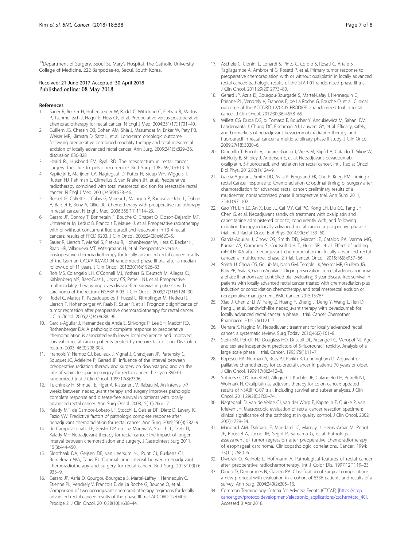<span id="page-6-0"></span><sup>13</sup>Department of Surgery, Seoul St. Mary's Hospital, The Catholic University College of Medicine, 222 Banpodae-ro, Seoul, South Korea.

#### Received: 21 June 2017 Accepted: 30 April 2018 Published online: 08 May 2018

#### References

- 1. Sauer R, Becker H, Hohenberger W, Rodel C, Wittekind C, Fietkau R, Martus P, Tschmelitsch J, Hager E, Hess CF, et al. Preoperative versus postoperative chemoradiotherapy for rectal cancer. N Engl J Med. 2004;351(17):1731–40.
- 2. Guillem JG, Chessin DB, Cohen AM, Shia J, Mazumdar M, Enker W, Paty PB, Weiser MR, Klimstra D, Saltz L, et al. Long-term oncologic outcome following preoperative combined modality therapy and total mesorectal excision of locally advanced rectal cancer. Ann Surg. 2005;241(5):829–36. discussion 836-828
- 3. Heald RJ, Husband EM, Ryall RD. The mesorectum in rectal cancer surgery–the clue to pelvic recurrence? Br J Surg. 1982;69(10):613–6.
- 4. Kapiteijn E, Marijnen CA, Nagtegaal ID, Putter H, Steup WH, Wiggers T, Rutten HJ, Pahlman L, Glimelius B, van Krieken JH, et al. Preoperative radiotherapy combined with total mesorectal excision for resectable rectal cancer. N Engl J Med. 2001;345(9):638–46.
- 5. Bosset JF, Collette L, Calais G, Mineur L, Maingon P, Radosevic-Jelic L, Daban A, Bardet E, Beny A, Ollier JC. Chemotherapy with preoperative radiotherapy in rectal cancer. N Engl J Med. 2006;355(11):1114–23.
- 6. Gerard JP, Conroy T, Bonnetain F, Bouche O, Chapet O, Closon-Dejardin MT, Untereiner M, Leduc B, Francois E, Maurel J, et al. Preoperative radiotherapy with or without concurrent fluorouracil and leucovorin in T3-4 rectal cancers: results of FFCD 9203. J Clin Oncol. 2006;24(28):4620–5.
- 7. Sauer R, Liersch T, Merkel S, Fietkau R, Hohenberger W, Hess C, Becker H, Raab HR, Villanueva MT, Witzigmann H, et al. Preoperative versus postoperative chemoradiotherapy for locally advanced rectal cancer: results of the German CAO/ARO/AIO-94 randomized phase III trial after a median follow-up of 11 years. J Clin Oncol. 2012;30(16):1926–33.
- Roh MS, Colangelo LH, O'Connell MJ, Yothers G, Deutsch M, Allegra CJ, Kahlenberg MS, Baez-Diaz L, Ursiny CS, Petrelli NJ, et al. Preoperative multimodality therapy improves disease-free survival in patients with carcinoma of the rectum: NSABP R-03. J Clin Oncol. 2009;27(31):5124–30.
- Rodel C, Martus P, Papadoupolos T, Fuzesi L, Klimpfinger M, Fietkau R, Liersch T, Hohenberger W, Raab R, Sauer R, et al. Prognostic significance of tumor regression after preoperative chemoradiotherapy for rectal cancer. J Clin Oncol. 2005;23(34):8688–96.
- 10. Garcia-Aguilar J, Hernandez de Anda E, Sirivongs P, Lee SH, Madoff RD, Rothenberger DA: A pathologic complete response to preoperative chemoradiation is associated with lower local recurrence and improved survival in rectal cancer patients treated by mesorectal excision. Dis Colon rectum 2003, 46(3):298-304.
- 11. Francois Y, Nemoz CJ, Baulieux J, Vignal J, Grandjean JP, Partensky C, Souquet JC, Adeleine P, Gerard JP. Influence of the interval between preoperative radiation therapy and surgery on downstaging and on the rate of sphincter-sparing surgery for rectal cancer: the Lyon R90-01 randomized trial. J Clin Oncol. 1999;17(8):2396.
- 12. Tulchinsky H, Shmueli E, Figer A, Klausner JM, Rabau M. An interval >7 weeks between neoadjuvant therapy and surgery improves pathologic complete response and disease-free survival in patients with locally advanced rectal cancer. Ann Surg Oncol. 2008;15(10):2661–7.
- 13. Kalady MF, de Campos-Lobato LF, Stocchi L, Geisler DP, Dietz D, Lavery IC, Fazio VW. Predictive factors of pathologic complete response after neoadjuvant chemoradiation for rectal cancer. Ann Surg. 2009;250(4):582–9.
- 14. de Campos-Lobato LF, Geisler DP, da Luz Moreira A, Stocchi L, Dietz D, Kalady MF: Neoadjuvant therapy for rectal cancer: the impact of longer interval between chemoradiation and surgery. J Gastrointest Surg 2011, 15(3):444-450.
- 15. Sloothaak DA, Geijsen DE, van Leersum NJ, Punt CJ, Buskens CJ, Bemelman WA, Tanis PJ. Optimal time interval between neoadjuvant chemoradiotherapy and surgery for rectal cancer. Br J Surg. 2013;100(7): 933–9.
- 16. Gerard JP, Azria D, Gourgou-Bourgade S, Martel-Laffay I, Hennequin C, Etienne PL, Vendrely V, Francois E, de La Roche G, Bouche O, et al. Comparison of two neoadjuvant chemoradiotherapy regimens for locally advanced rectal cancer: results of the phase III trial ACCORD 12/0405- Prodige 2. J Clin Oncol. 2010;28(10):1638–44.
- 17. Aschele C, Cionini L, Lonardi S, Pinto C, Cordio S, Rosati G, Artale S, Tagliagambe A, Ambrosini G, Rosetti P, et al. Primary tumor response to preoperative chemoradiation with or without oxaliplatin in locally advanced rectal cancer: pathologic results of the STAR-01 randomized phase III trial. J Clin Oncol. 2011;29(20):2773–80.
- 18. Gerard JP, Azria D, Gourgou-Bourgade S, Martel-Lafay I, Hennequin C, Etienne PL, Vendrely V, Francois E, de La Roche G, Bouche O, et al. Clinical outcome of the ACCORD 12/0405 PRODIGE 2 randomized trial in rectal cancer. J Clin Oncol. 2012;30(36):4558–65.
- 19. Willett CG, Duda DG, di Tomaso E, Boucher Y, Ancukiewicz M, Sahani DV, Lahdenranta J, Chung DC, Fischman AJ, Lauwers GY, et al. Efficacy, safety, and biomarkers of neoadjuvant bevacizumab, radiation therapy, and fluorouracil in rectal cancer: a multidisciplinary phase II study. J Clin Oncol. 2009;27(18):3020–6.
- 20. Dipetrillo T, Pricolo V, Lagares-Garcia J, Vrees M, Klipfel A, Cataldo T, Sikov W, McNulty B, Shipley J, Anderson E, et al. Neoadjuvant bevacizumab, oxaliplatin, 5-fluorouracil, and radiation for rectal cancer. Int J Radiat Oncol Biol Phys. 2012;82(1):124–9.
- 21. Garcia-Aguilar J, Smith DD, Avila K, Bergsland EK, Chu P, Krieg RM. Timing of rectal Cancer response to Chemoradiation C: optimal timing of surgery after chemoradiation for advanced rectal cancer: preliminary results of a multicenter, nonrandomized phase II prospective trial. Ann Surg. 2011; 254(1):97–102.
- 22. Gao YH, Lin JZ, An X, Luo JL, Cai MY, Cai PQ, Kong LH, Liu GC, Tang JH, Chen G, et al. Neoadjuvant sandwich treatment with oxaliplatin and capecitabine administered prior to, concurrently with, and following radiation therapy in locally advanced rectal cancer: a prospective phase 2 trial. Int J Radiat Oncol Biol Phys. 2014;90(5):1153–60.
- 23. Garcia-Aguilar J, Chow OS, Smith DD, Marcet JE, Cataldo PA, Varma MG, Kumar AS, Oommen S, Coutsoftides T, Hunt SR, et al. Effect of adding mFOLFOX6 after neoadjuvant chemoradiation in locally advanced rectal cancer: a multicentre, phase 2 trial. Lancet Oncol. 2015;16(8):957–66.
- 24. Smith JJ, Chow OS, Gollub MJ, Nash GM, Temple LK, Weiser MR, Guillem JG, Paty PB, Avila K, Garcia-Aguilar J. Organ preservation in rectal adenocarcinoma: a phase II randomized controlled trial evaluating 3-year disease-free survival in patients with locally advanced rectal cancer treated with chemoradiation plus induction or consolidation chemotherapy, and total mesorectal excision or nonoperative management. BMC Cancer. 2015;15:767.
- 25. Xiao J, Chen Z, Li W, Yang Z, Huang Y, Zheng J, Deng Y, Wang L, Ren D, Peng J, et al. Sandwich-like neoadjuvant therapy with bevacizumab for locally advanced rectal cancer: a phase II trial. Cancer Chemother Pharmacol. 2015;76(1):21–7.
- 26. Uehara K, Nagino M. Neoadjuvant treatment for locally advanced rectal cancer: a systematic review. Surg Today. 2016;46(2):161–8.
- 27. Stein BN, Petrelli NJ, Douglass HO, Driscoll DL, Arcangeli G, Meropol NJ. Age and sex are independent predictors of 5-fluorouracil toxicity. Analysis of a large scale phase III trial. Cancer. 1995;75(1):11–7.
- 28. Popescu RA, Norman A, Ross PJ, Parikh B, Cunningham D. Adjuvant or palliative chemotherapy for colorectal cancer in patients 70 years or older. J Clin Oncol. 1999;17(8):2412–8.
- 29. Yothers G, O'Connell MJ, Allegra CJ, Kuebler JP, Colangelo LH, Petrelli NJ, Wolmark N. Oxaliplatin as adjuvant therapy for colon cancer: updated results of NSABP C-07 trial, including survival and subset analyses. J Clin Oncol. 2011;29(28):3768–74.
- 30. Nagtegaal ID, van de Velde CJ, van der Worp E, Kapiteijn E, Quirke P, van Krieken JH. Macroscopic evaluation of rectal cancer resection specimen: clinical significance of the pathologist in quality control. J Clin Oncol. 2002; 20(7):1729–34.
- 31. Mandard AM, Dalibard F, Mandard JC, Marnay J, Henry-Amar M, Petiot JF, Roussel A, Jacob JH, Segol P, Samama G, et al. Pathologic assessment of tumor regression after preoperative chemoradiotherapy of esophageal carcinoma. Clinicopathologic correlations. Cancer. 1994; 73(11):2680–6.
- 32. Dworak O, Keilholz L, Hoffmann A. Pathological features of rectal cancer after preoperative radiochemotherapy. Int J Color Dis. 1997;12(1):19–23.
- 33. Dindo D, Demartines N, Clavien PA. Classification of surgical complications: a new proposal with evaluation in a cohort of 6336 patients and results of a survey. Ann Surg. 2004;240(2):205–13.
- 34. Common Terminology Criteria for Adverse Events (CTCAE) [\[https://ctep.](https://ctep.cancer.gov/protocoldevelopment/electronic_applications/ctc.htm#ctc_40) [cancer.gov/protocoldevelopment/electronic\\_applications/ctc.htm#ctc\\_40\]](https://ctep.cancer.gov/protocoldevelopment/electronic_applications/ctc.htm#ctc_40). Accessed 3 Apr 2018.